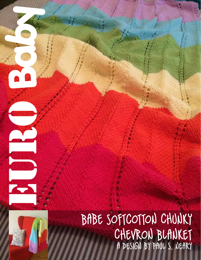# BABE SOFTCOTTON CHUNKY CHEVRON BLANKET